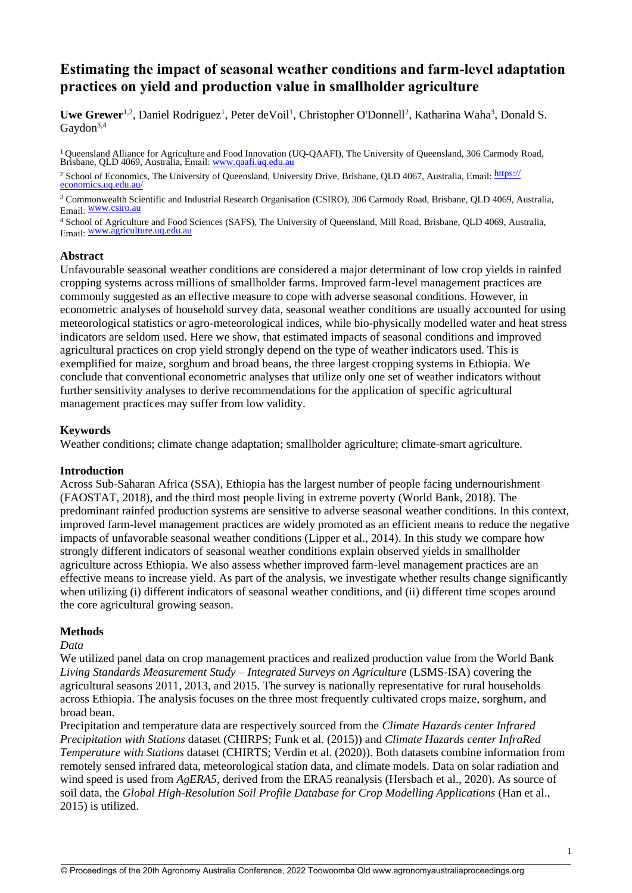# **Estimating the impact of seasonal weather conditions and farm-level adaptation practices on yield and production value in smallholder agriculture**

Uwe Grewer<sup>1,2</sup>, Daniel Rodriguez<sup>1</sup>, Peter de Voil<sup>1</sup>, Christopher O'Donnell<sup>2</sup>, Katharina Waha<sup>3</sup>, Donald S. Gaydon<sup>3,4</sup>

<sup>1</sup> Queensland Alliance for Agriculture and Food Innovation (UQ-QAAFI), The University of Queensland, 306 Carmody Road, Brisbane, QLD 4069, Australia, Email: [www.qaafi.uq.](http://www.qaafi.uq.edu.au/)edu.au

<sup>2</sup> School of Economics, The University of Queensland, University Drive, Brisbane, QLD 4067, Australia, Email: https:// [economics.uq.edu.au/](https://economics.uq.edu.au/) 

<sup>3</sup> Commonwealth Scientific and Industrial Research Organisation (CSIRO), 306 Carmody Road, Brisbane, OLD 4069, Australia, Email: [www.cs](http://www.csiro.au/)iro.au

<sup>4</sup> School of Agriculture and Food Sciences (SAFS), The University of Queensland, Mill Road, Brisbane, QLD 4069, Australia, Email: [www.agriculture.uq.](http://www.agriculture.uq.edu.au/)edu.au

## **Abstract**

Unfavourable seasonal weather conditions are considered a major determinant of low crop yields in rainfed cropping systems across millions of smallholder farms. Improved farm-level management practices are commonly suggested as an effective measure to cope with adverse seasonal conditions. However, in econometric analyses of household survey data, seasonal weather conditions are usually accounted for using meteorological statistics or agro-meteorological indices, while bio-physically modelled water and heat stress indicators are seldom used. Here we show, that estimated impacts of seasonal conditions and improved agricultural practices on crop yield strongly depend on the type of weather indicators used. This is exemplified for maize, sorghum and broad beans, the three largest cropping systems in Ethiopia. We conclude that conventional econometric analyses that utilize only one set of weather indicators without further sensitivity analyses to derive recommendations for the application of specific agricultural management practices may suffer from low validity.

# **Keywords**

Weather conditions; climate change adaptation; smallholder agriculture; climate-smart agriculture.

## **Introduction**

Across Sub-Saharan Africa (SSA), Ethiopia has the largest number of people facing undernourishment (FAOSTAT, 2018), and the third most people living in extreme poverty (World Bank, 2018). The predominant rainfed production systems are sensitive to adverse seasonal weather conditions. In this context, improved farm-level management practices are widely promoted as an efficient means to reduce the negative impacts of unfavorable seasonal weather conditions (Lipper et al., 2014). In this study we compare how strongly different indicators of seasonal weather conditions explain observed yields in smallholder agriculture across Ethiopia. We also assess whether improved farm-level management practices are an effective means to increase yield. As part of the analysis, we investigate whether results change significantly when utilizing (i) different indicators of seasonal weather conditions, and (ii) different time scopes around the core agricultural growing season.

## **Methods**

## *Data*

We utilized panel data on crop management practices and realized production value from the World Bank *Living Standards Measurement Study – Integrated Surveys on Agriculture* (LSMS-ISA) covering the agricultural seasons 2011, 2013, and 2015. The survey is nationally representative for rural households across Ethiopia. The analysis focuses on the three most frequently cultivated crops maize, sorghum, and broad bean.

Precipitation and temperature data are respectively sourced from the *Climate Hazards center Infrared Precipitation with Stations* dataset (CHIRPS; Funk et al. (2015)) and *Climate Hazards center InfraRed Temperature with Stations* dataset (CHIRTS; Verdin et al. (2020)). Both datasets combine information from remotely sensed infrared data, meteorological station data, and climate models. Data on solar radiation and wind speed is used from *AgERA5*, derived from the ERA5 reanalysis (Hersbach et al., 2020). As source of soil data, the *Global High-Resolution Soil Profile Database for Crop Modelling Applications* (Han et al., 2015) is utilized.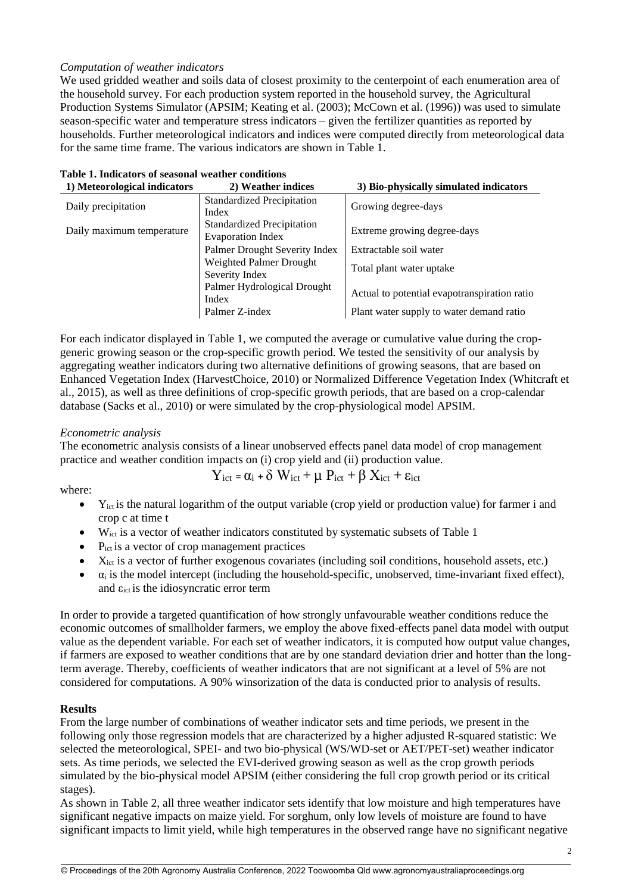# *Computation of weather indicators*

We used gridded weather and soils data of closest proximity to the centerpoint of each enumeration area of the household survey. For each production system reported in the household survey, the Agricultural Production Systems Simulator (APSIM; Keating et al. (2003); McCown et al. (1996)) was used to simulate season-specific water and temperature stress indicators – given the fertilizer quantities as reported by households. Further meteorological indicators and indices were computed directly from meteorological data for the same time frame. The various indicators are shown in [Table 1.](#page-1-0)

| 2) Weather indices                | 3) Bio-physically simulated indicators       |
|-----------------------------------|----------------------------------------------|
| <b>Standardized Precipitation</b> | Growing degree-days                          |
| Index                             |                                              |
| <b>Standardized Precipitation</b> | Extreme growing degree-days                  |
|                                   |                                              |
| Palmer Drought Severity Index     | Extractable soil water                       |
| Weighted Palmer Drought           | Total plant water uptake                     |
| Severity Index                    |                                              |
| Palmer Hydrological Drought       |                                              |
| Index                             | Actual to potential evapotranspiration ratio |
| Palmer Z-index                    | Plant water supply to water demand ratio     |
|                                   | <b>Evaporation Index</b>                     |

<span id="page-1-0"></span>

| Table 1. Indicators of seasonal weather conditions |  |  |  |
|----------------------------------------------------|--|--|--|
|                                                    |  |  |  |

For each indicator displayed in [Table 1,](#page-1-0) we computed the average or cumulative value during the cropgeneric growing season or the crop-specific growth period. We tested the sensitivity of our analysis by aggregating weather indicators during two alternative definitions of growing seasons, that are based on Enhanced Vegetation Index (HarvestChoice, 2010) or Normalized Difference Vegetation Index (Whitcraft et al., 2015), as well as three definitions of crop-specific growth periods, that are based on a crop-calendar database (Sacks et al., 2010) or were simulated by the crop-physiological model APSIM.

# *Econometric analysis*

The econometric analysis consists of a linear unobserved effects panel data model of crop management practice and weather condition impacts on (i) crop yield and (ii) production value.

$$
Y_{ict} = \alpha_i + \delta W_{ict} + \mu P_{ict} + \beta X_{ict} + \epsilon_{ict}
$$

where:

- $Y_{\text{ict}}$  is the natural logarithm of the output variable (crop yield or production value) for farmer i and crop c at time t
- W<sub>ict</sub> is a vector of weather indicators constituted by systematic subsets of [Table 1](#page-1-0)
- $\bullet$  P<sub>ict</sub> is a vector of crop management practices
- $\bullet$   $X_{\text{ict}}$  is a vector of further exogenous covariates (including soil conditions, household assets, etc.)
- $\bullet$   $\alpha_i$  is the model intercept (including the household-specific, unobserved, time-invariant fixed effect), and  $\varepsilon_{\text{ict}}$  is the idiosyncratic error term

In order to provide a targeted quantification of how strongly unfavourable weather conditions reduce the economic outcomes of smallholder farmers, we employ the above fixed-effects panel data model with output value as the dependent variable. For each set of weather indicators, it is computed how output value changes, if farmers are exposed to weather conditions that are by one standard deviation drier and hotter than the longterm average. Thereby, coefficients of weather indicators that are not significant at a level of 5% are not considered for computations. A 90% winsorization of the data is conducted prior to analysis of results.

# **Results**

From the large number of combinations of weather indicator sets and time periods, we present in the following only those regression models that are characterized by a higher adjusted R-squared statistic: We selected the meteorological, SPEI- and two bio-physical (WS/WD-set or AET/PET-set) weather indicator sets. As time periods, we selected the EVI-derived growing season as well as the crop growth periods simulated by the bio-physical model APSIM (either considering the full crop growth period or its critical stages).

As shown in [Table 2,](#page-2-0) all three weather indicator sets identify that low moisture and high temperatures have significant negative impacts on maize yield. For sorghum, only low levels of moisture are found to have significant impacts to limit yield, while high temperatures in the observed range have no significant negative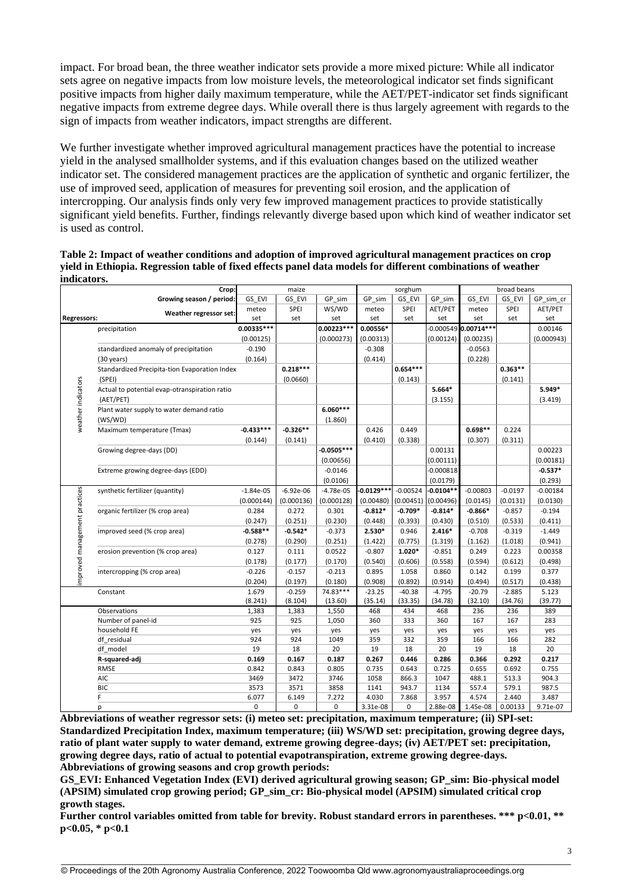impact. For broad bean, the three weather indicator sets provide a more mixed picture: While all indicator sets agree on negative impacts from low moisture levels, the meteorological indicator set finds significant positive impacts from higher daily maximum temperature, while the AET/PET-indicator set finds significant negative impacts from extreme degree days. While overall there is thus largely agreement with regards to the sign of impacts from weather indicators, impact strengths are different.

We further investigate whether improved agricultural management practices have the potential to increase yield in the analysed smallholder systems, and if this evaluation changes based on the utilized weather indicator set. The considered management practices are the application of synthetic and organic fertilizer, the use of improved seed, application of measures for preventing soil erosion, and the application of intercropping. Our analysis finds only very few improved management practices to provide statistically significant yield benefits. Further, findings relevantly diverge based upon which kind of weather indicator set is used as control.

<span id="page-2-0"></span>

| Table 2: Impact of weather conditions and adoption of improved agricultural management practices on crop     |
|--------------------------------------------------------------------------------------------------------------|
| yield in Ethiopia. Regression table of fixed effects panel data models for different combinations of weather |
| indicators.                                                                                                  |

|                              | Crop:                                         | maize         |             |              | sorghum      |            |             | broad beans            |           |            |
|------------------------------|-----------------------------------------------|---------------|-------------|--------------|--------------|------------|-------------|------------------------|-----------|------------|
|                              | Growing season / period:                      | GS EVI        | GS EVI      | GP sim       | GP sim       | GS EVI     | GP sim      | GS EVI                 | GS EVI    | GP sim cr  |
|                              | Weather regressor set:                        | meteo         | SPEI        | WS/WD        | meteo        | SPEI       | AET/PET     | meteo                  | SPEI      | AET/PET    |
| <b>Regressors:</b>           |                                               | set           | set         | set          | set          | set        | set         | set                    | set       | set        |
|                              | precipitation                                 | $0.00335***$  |             | 0.00223***   | 0.00556*     |            |             | $-0.000549$ 0.00714*** |           | 0.00146    |
|                              |                                               | (0.00125)     |             | (0.000273)   | (0.00313)    |            | (0.00124)   | (0.00235)              |           | (0.000943) |
|                              | standardized anomaly of precipitation         | $-0.190$      |             |              | $-0.308$     |            |             | $-0.0563$              |           |            |
|                              | $(30 \text{ years})$                          | (0.164)       |             |              | (0.414)      |            |             | (0.228)                |           |            |
|                              | Standardized Precipita-tion Evaporation Index |               | $0.218***$  |              |              | $0.654***$ |             |                        | $0.363**$ |            |
|                              | (SPEI)                                        |               | (0.0660)    |              |              | (0.143)    |             |                        | (0.141)   |            |
|                              | Actual to potential evap-otranspiration ratio |               |             |              |              |            | $5.664*$    |                        |           | 5.949*     |
|                              | (AET/PET)                                     |               |             |              |              |            | (3.155)     |                        |           | (3.419)    |
| weather indicators           | Plant water supply to water demand ratio      |               |             | $6.060***$   |              |            |             |                        |           |            |
|                              | (WS/WD)                                       |               |             | (1.860)      |              |            |             |                        |           |            |
|                              | Maximum temperature (Tmax)                    | $-0.433***$   | $-0.326**$  |              | 0.426        | 0.449      |             | $0.698**$              | 0.224     |            |
|                              |                                               | (0.144)       | (0.141)     |              | (0.410)      | (0.338)    |             | (0.307)                | (0.311)   |            |
|                              | Growing degree-days (DD)                      |               |             | $-0.0505***$ |              |            | 0.00131     |                        |           | 0.00223    |
|                              |                                               |               |             | (0.00656)    |              |            | (0.00111)   |                        |           | (0.00181)  |
|                              | Extreme growing degree-days (EDD)             |               |             | $-0.0146$    |              |            | $-0.000818$ |                        |           | $-0.537*$  |
|                              |                                               |               |             | (0.0106)     |              |            | (0.0179)    |                        |           | (0.293)    |
|                              | synthetic fertilizer (quantity)               | $-1.84e-05$   | $-6.92e-06$ | $-4.78e-05$  | $-0.0129***$ | $-0.00524$ | $-0.0104**$ | $-0.00803$             | $-0.0197$ | $-0.00184$ |
|                              |                                               | (0.000144)    | (0.000136)  | (0.000128)   | (0.00480)    | (0.00451)  | (0.00496)   | (0.0145)               | (0.0131)  | (0.0130)   |
| mproved management practices | organic fertilizer (% crop area)              | 0.284         | 0.272       | 0.301        | $-0.812*$    | $-0.709*$  | $-0.814*$   | $-0.866*$              | $-0.857$  | $-0.194$   |
|                              |                                               | (0.247)       | (0.251)     | (0.230)      | (0.448)      | (0.393)    | (0.430)     | (0.510)                | (0.533)   | (0.411)    |
|                              | improved seed (% crop area)                   | $-0.588**$    | $-0.542*$   | $-0.373$     | 2.530*       | 0.946      | $2.416*$    | $-0.708$               | $-0.319$  | $-1.449$   |
|                              |                                               | (0.278)       | (0.290)     | (0.251)      | (1.422)      | (0.775)    | (1.319)     | (1.162)                | (1.018)   | (0.941)    |
|                              | erosion prevention (% crop area)              | 0.127         | 0.111       | 0.0522       | $-0.807$     | $1.020*$   | $-0.851$    | 0.249                  | 0.223     | 0.00358    |
|                              |                                               | (0.178)       | (0.177)     | (0.170)      | (0.540)      | (0.606)    | (0.558)     | (0.594)                | (0.612)   | (0.498)    |
|                              | intercropping (% crop area)                   | $-0.226$      | $-0.157$    | $-0.213$     | 0.895        | 1.058      | 0.860       | 0.142                  | 0.199     | 0.377      |
|                              |                                               | (0.204)       | (0.197)     | (0.180)      | (0.908)      | (0.892)    | (0.914)     | (0.494)                | (0.517)   | (0.438)    |
|                              | Constant                                      | 1.679         | $-0.259$    | 74.83***     | $-23.25$     | $-40.38$   | $-4.795$    | $-20.79$               | $-2.885$  | 5.123      |
|                              |                                               | (8.241)       | (8.104)     | (13.60)      | (35.14)      | (33.35)    | (34.78)     | (32.10)                | (34.76)   | (39.77)    |
|                              | Observations                                  | 1,383         | 1,383       | 1,550        | 468          | 434        | 468         | 236                    | 236       | 389        |
|                              | Number of panel-id                            | 925           | 925         | 1,050        | 360          | 333        | 360         | 167                    | 167       | 283        |
|                              | household FE                                  | yes           | yes         | yes          | yes          | yes        | yes         | yes                    | yes       | yes        |
|                              | df residual                                   | 924           | 924         | 1049         | 359          | 332        | 359         | 166                    | 166       | 282        |
|                              | df model                                      | 19            | 18          | 20           | 19           | 18         | 20          | 19                     | 18        | 20         |
|                              | R-squared-adj                                 | 0.169         | 0.167       | 0.187        | 0.267        | 0.446      | 0.286       | 0.366                  | 0.292     | 0.217      |
|                              | RMSE                                          | 0.842         | 0.843       | 0.805        | 0.735        | 0.643      | 0.725       | 0.655                  | 0.692     | 0.755      |
|                              | AIC<br><b>BIC</b>                             | 3469          | 3472        | 3746         | 1058         | 866.3      | 1047        | 488.1                  | 513.3     | 904.3      |
|                              | F                                             | 3573<br>6.077 | 3571        | 3858         | 1141         | 943.7      | 1134        | 557.4                  | 579.1     | 987.5      |
|                              |                                               | 0             | 6.149<br>0  | 7.272<br>0   | 4.030        | 7.868<br>0 | 3.957       | 4.574                  | 2.440     | 3.487      |
|                              | p                                             |               |             |              | 3.31e-08     |            | 2.88e-08    | 1.45e-08               | 0.00133   | 9.71e-07   |

**Abbreviations of weather regressor sets: (i) meteo set: precipitation, maximum temperature; (ii) SPI-set: Standardized Precipitation Index, maximum temperature; (iii) WS/WD set: precipitation, growing degree days, ratio of plant water supply to water demand, extreme growing degree-days; (iv) AET/PET set: precipitation, growing degree days, ratio of actual to potential evapotranspiration, extreme growing degree-days. Abbreviations of growing seasons and crop growth periods:**

GS\_EVI: Enhanced Vegetation Index (EVI) derived agricultural growing season; GP\_sim: Bio-physical model **(APSIM) simulated crop growing period; GP\_sim\_cr: Bio-physical model (APSIM) simulated critical crop growth stages.** 

**Further control variables omitted from table for brevity. Robust standard errors in parentheses. \*\*\* p<0.01, \*\* p<0.05, \* p<0.1**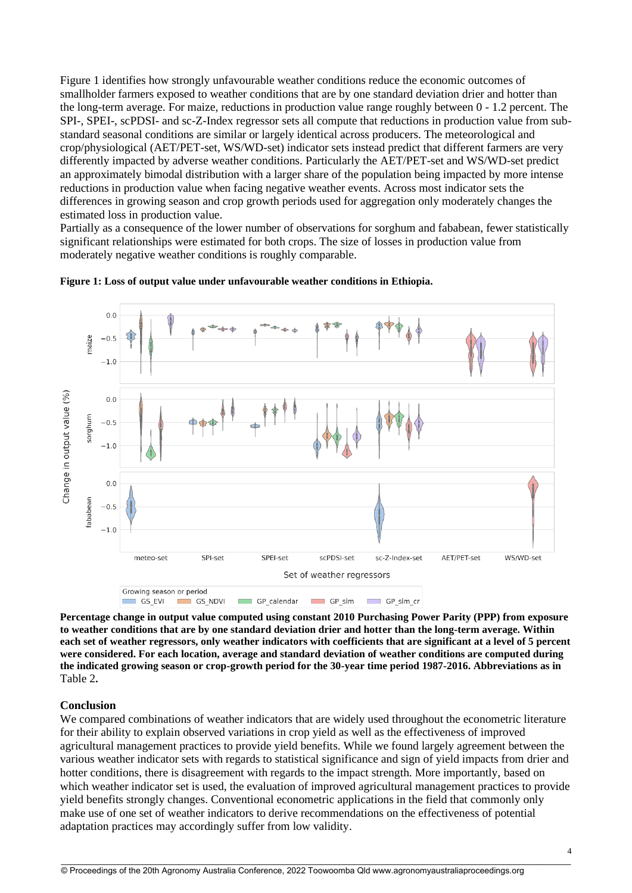[Figure 1](#page-3-0) identifies how strongly unfavourable weather conditions reduce the economic outcomes of smallholder farmers exposed to weather conditions that are by one standard deviation drier and hotter than the long-term average. For maize, reductions in production value range roughly between 0 - 1.2 percent. The SPI-, SPEI-, scPDSI- and sc-Z-Index regressor sets all compute that reductions in production value from substandard seasonal conditions are similar or largely identical across producers. The meteorological and crop/physiological (AET/PET-set, WS/WD-set) indicator sets instead predict that different farmers are very differently impacted by adverse weather conditions. Particularly the AET/PET-set and WS/WD-set predict an approximately bimodal distribution with a larger share of the population being impacted by more intense reductions in production value when facing negative weather events. Across most indicator sets the differences in growing season and crop growth periods used for aggregation only moderately changes the estimated loss in production value.

Partially as a consequence of the lower number of observations for sorghum and fababean, fewer statistically significant relationships were estimated for both crops. The size of losses in production value from moderately negative weather conditions is roughly comparable.



<span id="page-3-0"></span>

**Percentage change in output value computed using constant 2010 Purchasing Power Parity (PPP) from exposure to weather conditions that are by one standard deviation drier and hotter than the long-term average. Within each set of weather regressors, only weather indicators with coefficients that are significant at a level of 5 percent were considered. For each location, average and standard deviation of weather conditions are computed during the indicated growing season or crop-growth period for the 30-year time period 1987-2016. Abbreviations as in**  [Table 2](#page-2-0)**.** 

## **Conclusion**

We compared combinations of weather indicators that are widely used throughout the econometric literature for their ability to explain observed variations in crop yield as well as the effectiveness of improved agricultural management practices to provide yield benefits. While we found largely agreement between the various weather indicator sets with regards to statistical significance and sign of yield impacts from drier and hotter conditions, there is disagreement with regards to the impact strength. More importantly, based on which weather indicator set is used, the evaluation of improved agricultural management practices to provide yield benefits strongly changes. Conventional econometric applications in the field that commonly only make use of one set of weather indicators to derive recommendations on the effectiveness of potential adaptation practices may accordingly suffer from low validity.